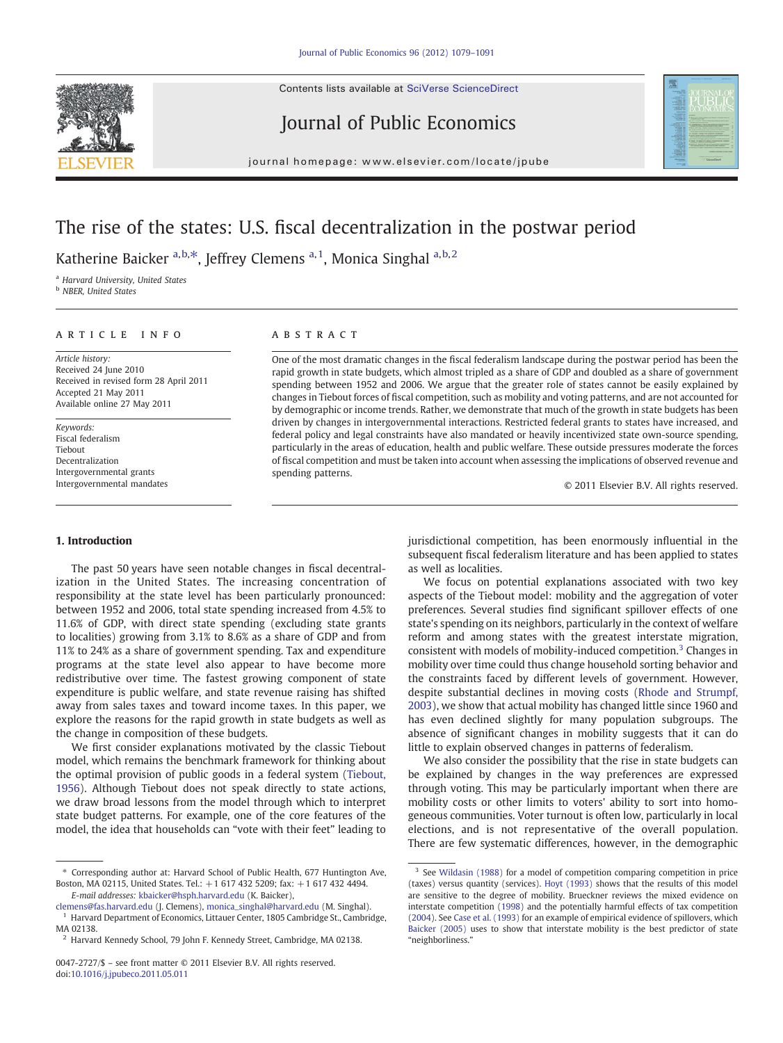Contents lists available at SciVerse ScienceDirect







journal homepage: www.elsevier.com/locate/jpube

## The rise of the states: U.S. fiscal decentralization in the postwar period

Katherine Baicker <sup>a,b,\*</sup>, Jeffrey Clemens <sup>a, 1</sup>, Monica Singhal <sup>a,b,2</sup>

<sup>a</sup> Harvard University, United States

<sup>b</sup> NBER, United States

#### article info abstract

Article history: Received 24 June 2010 Received in revised form 28 April 2011 Accepted 21 May 2011 Available online 27 May 2011

Keywords: Fiscal federalism Tiebout Decentralization Intergovernmental grants Intergovernmental mandates

### 1. Introduction

The past 50 years have seen notable changes in fiscal decentralization in the United States. The increasing concentration of responsibility at the state level has been particularly pronounced: between 1952 and 2006, total state spending increased from 4.5% to 11.6% of GDP, with direct state spending (excluding state grants to localities) growing from 3.1% to 8.6% as a share of GDP and from 11% to 24% as a share of government spending. Tax and expenditure programs at the state level also appear to have become more redistributive over time. The fastest growing component of state expenditure is public welfare, and state revenue raising has shifted away from sales taxes and toward income taxes. In this paper, we explore the reasons for the rapid growth in state budgets as well as the change in composition of these budgets.

We first consider explanations motivated by the classic Tiebout model, which remains the benchmark framework for thinking about the optimal provision of public goods in a federal system [\(Tiebout,](#page--1-0) [1956\)](#page--1-0). Although Tiebout does not speak directly to state actions, we draw broad lessons from the model through which to interpret state budget patterns. For example, one of the core features of the model, the idea that households can "vote with their feet" leading to

One of the most dramatic changes in the fiscal federalism landscape during the postwar period has been the rapid growth in state budgets, which almost tripled as a share of GDP and doubled as a share of government spending between 1952 and 2006. We argue that the greater role of states cannot be easily explained by changes in Tiebout forces of fiscal competition, such as mobility and voting patterns, and are not accounted for by demographic or income trends. Rather, we demonstrate that much of the growth in state budgets has been driven by changes in intergovernmental interactions. Restricted federal grants to states have increased, and federal policy and legal constraints have also mandated or heavily incentivized state own-source spending, particularly in the areas of education, health and public welfare. These outside pressures moderate the forces of fiscal competition and must be taken into account when assessing the implications of observed revenue and spending patterns.

© 2011 Elsevier B.V. All rights reserved.

jurisdictional competition, has been enormously influential in the subsequent fiscal federalism literature and has been applied to states as well as localities.

We focus on potential explanations associated with two key aspects of the Tiebout model: mobility and the aggregation of voter preferences. Several studies find significant spillover effects of one state's spending on its neighbors, particularly in the context of welfare reform and among states with the greatest interstate migration, consistent with models of mobility-induced competition.<sup>3</sup> Changes in mobility over time could thus change household sorting behavior and the constraints faced by different levels of government. However, despite substantial declines in moving costs ([Rhode and Strumpf,](#page--1-0) [2003\)](#page--1-0), we show that actual mobility has changed little since 1960 and has even declined slightly for many population subgroups. The absence of significant changes in mobility suggests that it can do little to explain observed changes in patterns of federalism.

We also consider the possibility that the rise in state budgets can be explained by changes in the way preferences are expressed through voting. This may be particularly important when there are mobility costs or other limits to voters' ability to sort into homogeneous communities. Voter turnout is often low, particularly in local elections, and is not representative of the overall population. There are few systematic differences, however, in the demographic

<sup>⁎</sup> Corresponding author at: Harvard School of Public Health, 677 Huntington Ave, Boston, MA 02115, United States. Tel.: +1 617 432 5209; fax: +1 617 432 4494. E-mail addresses: [kbaicker@hsph.harvard.edu](mailto:kbaicker@hsph.harvard.edu) (K. Baicker),

[clemens@fas.harvard.edu](mailto:clemens@fas.harvard.edu) (J. Clemens), [monica\\_singhal@harvard.edu](mailto:monica_singhal@harvard.edu) (M. Singhal).

<sup>&</sup>lt;sup>1</sup> Harvard Department of Economics, Littauer Center, 1805 Cambridge St., Cambridge, MA 02138.

<sup>2</sup> Harvard Kennedy School, 79 John F. Kennedy Street, Cambridge, MA 02138.

<sup>0047-2727/\$</sup> – see front matter © 2011 Elsevier B.V. All rights reserved. doi:[10.1016/j.jpubeco.2011.05.011](http://dx.doi.org/10.1016/j.jpubeco.2011.05.011)

<sup>&</sup>lt;sup>3</sup> See [Wildasin \(1988\)](#page--1-0) for a model of competition comparing competition in price (taxes) versus quantity (services). [Hoyt \(1993\)](#page--1-0) shows that the results of this model are sensitive to the degree of mobility. Brueckner reviews the mixed evidence on interstate competition [\(1998\)](#page--1-0) and the potentially harmful effects of tax competition [\(2004\)](#page--1-0). See [Case et al. \(1993\)](#page--1-0) for an example of empirical evidence of spillovers, which [Baicker \(2005\)](#page--1-0) uses to show that interstate mobility is the best predictor of state "neighborliness."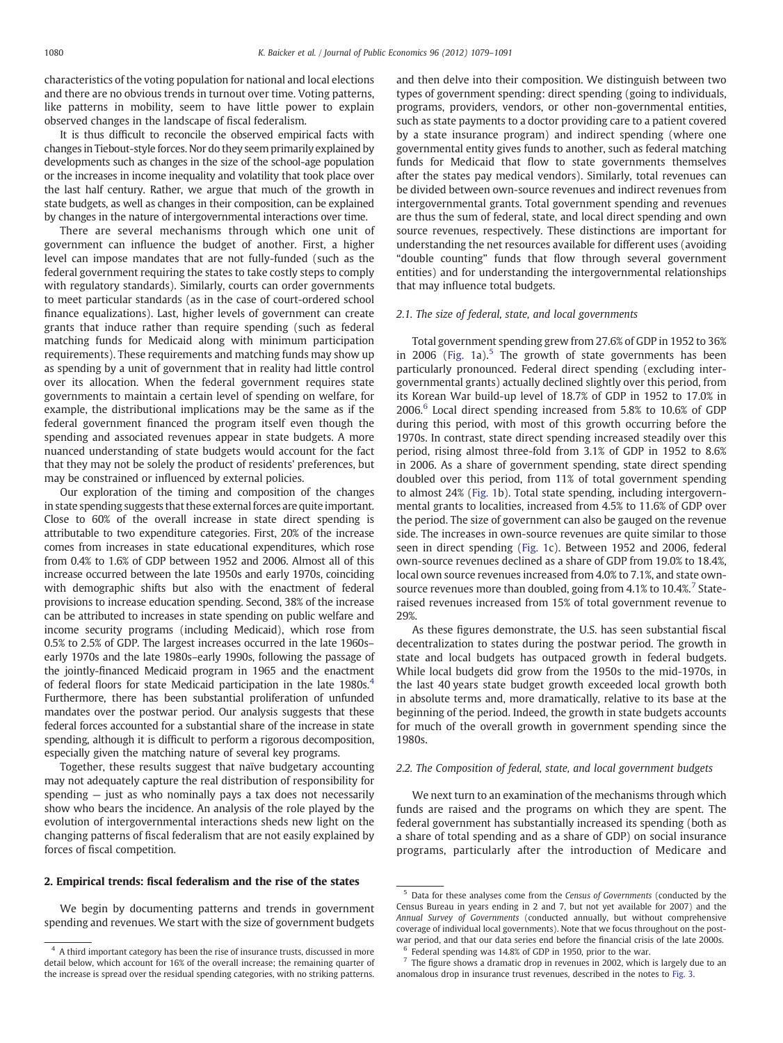characteristics of the voting population for national and local elections and there are no obvious trends in turnout over time. Voting patterns, like patterns in mobility, seem to have little power to explain observed changes in the landscape of fiscal federalism.

It is thus difficult to reconcile the observed empirical facts with changes in Tiebout-style forces. Nor do they seem primarily explained by developments such as changes in the size of the school-age population or the increases in income inequality and volatility that took place over the last half century. Rather, we argue that much of the growth in state budgets, as well as changes in their composition, can be explained by changes in the nature of intergovernmental interactions over time.

There are several mechanisms through which one unit of government can influence the budget of another. First, a higher level can impose mandates that are not fully-funded (such as the federal government requiring the states to take costly steps to comply with regulatory standards). Similarly, courts can order governments to meet particular standards (as in the case of court-ordered school finance equalizations). Last, higher levels of government can create grants that induce rather than require spending (such as federal matching funds for Medicaid along with minimum participation requirements). These requirements and matching funds may show up as spending by a unit of government that in reality had little control over its allocation. When the federal government requires state governments to maintain a certain level of spending on welfare, for example, the distributional implications may be the same as if the federal government financed the program itself even though the spending and associated revenues appear in state budgets. A more nuanced understanding of state budgets would account for the fact that they may not be solely the product of residents' preferences, but may be constrained or influenced by external policies.

Our exploration of the timing and composition of the changes in state spending suggests that these external forces are quite important. Close to 60% of the overall increase in state direct spending is attributable to two expenditure categories. First, 20% of the increase comes from increases in state educational expenditures, which rose from 0.4% to 1.6% of GDP between 1952 and 2006. Almost all of this increase occurred between the late 1950s and early 1970s, coinciding with demographic shifts but also with the enactment of federal provisions to increase education spending. Second, 38% of the increase can be attributed to increases in state spending on public welfare and income security programs (including Medicaid), which rose from 0.5% to 2.5% of GDP. The largest increases occurred in the late 1960s– early 1970s and the late 1980s–early 1990s, following the passage of the jointly-financed Medicaid program in 1965 and the enactment of federal floors for state Medicaid participation in the late 1980s.<sup>4</sup> Furthermore, there has been substantial proliferation of unfunded mandates over the postwar period. Our analysis suggests that these federal forces accounted for a substantial share of the increase in state spending, although it is difficult to perform a rigorous decomposition, especially given the matching nature of several key programs.

Together, these results suggest that naïve budgetary accounting may not adequately capture the real distribution of responsibility for spending — just as who nominally pays a tax does not necessarily show who bears the incidence. An analysis of the role played by the evolution of intergovernmental interactions sheds new light on the changing patterns of fiscal federalism that are not easily explained by forces of fiscal competition.

#### 2. Empirical trends: fiscal federalism and the rise of the states

We begin by documenting patterns and trends in government spending and revenues. We start with the size of government budgets

and then delve into their composition. We distinguish between two types of government spending: direct spending (going to individuals, programs, providers, vendors, or other non-governmental entities, such as state payments to a doctor providing care to a patient covered by a state insurance program) and indirect spending (where one governmental entity gives funds to another, such as federal matching funds for Medicaid that flow to state governments themselves after the states pay medical vendors). Similarly, total revenues can be divided between own-source revenues and indirect revenues from intergovernmental grants. Total government spending and revenues are thus the sum of federal, state, and local direct spending and own source revenues, respectively. These distinctions are important for understanding the net resources available for different uses (avoiding "double counting" funds that flow through several government entities) and for understanding the intergovernmental relationships that may influence total budgets.

#### 2.1. The size of federal, state, and local governments

Total government spending grew from 27.6% of GDP in 1952 to 36% in 2006 ([Fig. 1a](#page--1-0)). $5$  The growth of state governments has been particularly pronounced. Federal direct spending (excluding intergovernmental grants) actually declined slightly over this period, from its Korean War build-up level of 18.7% of GDP in 1952 to 17.0% in 2006.<sup>6</sup> Local direct spending increased from 5.8% to 10.6% of GDP during this period, with most of this growth occurring before the 1970s. In contrast, state direct spending increased steadily over this period, rising almost three-fold from 3.1% of GDP in 1952 to 8.6% in 2006. As a share of government spending, state direct spending doubled over this period, from 11% of total government spending to almost 24% [\(Fig. 1b](#page--1-0)). Total state spending, including intergovernmental grants to localities, increased from 4.5% to 11.6% of GDP over the period. The size of government can also be gauged on the revenue side. The increases in own-source revenues are quite similar to those seen in direct spending [\(Fig. 1c](#page--1-0)). Between 1952 and 2006, federal own-source revenues declined as a share of GDP from 19.0% to 18.4%, local own source revenues increased from 4.0% to 7.1%, and state ownsource revenues more than doubled, going from 4.1% to 10.4%.<sup>7</sup> Stateraised revenues increased from 15% of total government revenue to 29%.

As these figures demonstrate, the U.S. has seen substantial fiscal decentralization to states during the postwar period. The growth in state and local budgets has outpaced growth in federal budgets. While local budgets did grow from the 1950s to the mid-1970s, in the last 40 years state budget growth exceeded local growth both in absolute terms and, more dramatically, relative to its base at the beginning of the period. Indeed, the growth in state budgets accounts for much of the overall growth in government spending since the 1980s.

#### 2.2. The Composition of federal, state, and local government budgets

We next turn to an examination of the mechanisms through which funds are raised and the programs on which they are spent. The federal government has substantially increased its spending (both as a share of total spending and as a share of GDP) on social insurance programs, particularly after the introduction of Medicare and

<sup>4</sup> A third important category has been the rise of insurance trusts, discussed in more detail below, which account for 16% of the overall increase; the remaining quarter of the increase is spread over the residual spending categories, with no striking patterns.

<sup>5</sup> Data for these analyses come from the Census of Governments (conducted by the Census Bureau in years ending in 2 and 7, but not yet available for 2007) and the Annual Survey of Governments (conducted annually, but without comprehensive coverage of individual local governments). Note that we focus throughout on the postwar period, and that our data series end before the financial crisis of the late 2000s.

 $6$  Federal spending was 14.8% of GDP in 1950, prior to the war.

 $7$  The figure shows a dramatic drop in revenues in 2002, which is largely due to an anomalous drop in insurance trust revenues, described in the notes to [Fig. 3](#page--1-0).